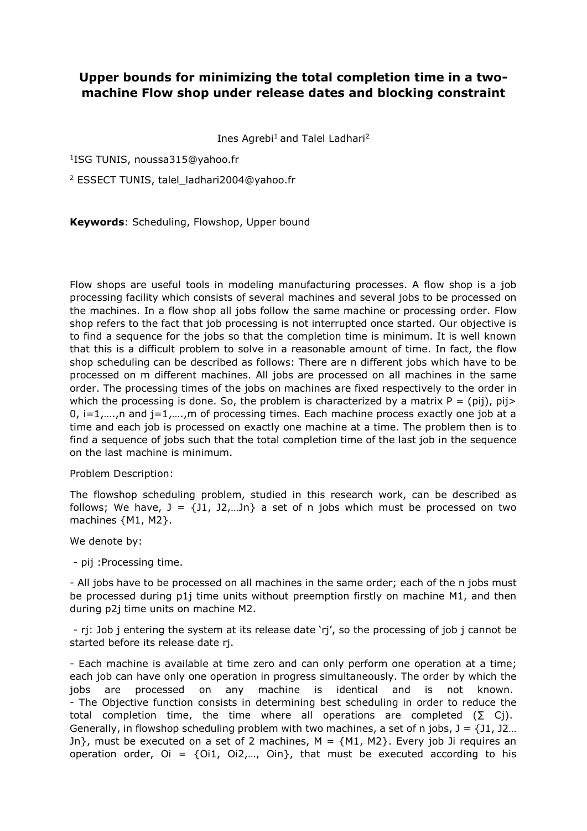## **Upper bounds for minimizing the total completion time in a twomachine Flow shop under release dates and blocking constraint**

Ines Agrebi<sup>1</sup> and Talel Ladhari<sup>2</sup>

1 ISG TUNIS, noussa315@yahoo.fr

<sup>2</sup> ESSECT TUNIS, talel\_ladhari2004@yahoo.fr

**Keywords**: Scheduling, Flowshop, Upper bound

Flow shops are useful tools in modeling manufacturing processes. A flow shop is a job processing facility which consists of several machines and several jobs to be processed on the machines. In a flow shop all jobs follow the same machine or processing order. Flow shop refers to the fact that job processing is not interrupted once started. Our objective is to find a sequence for the jobs so that the completion time is minimum. It is well known that this is a difficult problem to solve in a reasonable amount of time. In fact, the flow shop scheduling can be described as follows: There are n different jobs which have to be processed on m different machines. All jobs are processed on all machines in the same order. The processing times of the jobs on machines are fixed respectively to the order in which the processing is done. So, the problem is characterized by a matrix  $P = (pi)$ ,  $pi$ 0,  $i=1,\ldots,n$  and  $i=1,\ldots,m$  of processing times. Each machine process exactly one job at a time and each job is processed on exactly one machine at a time. The problem then is to find a sequence of jobs such that the total completion time of the last job in the sequence on the last machine is minimum.

Problem Description:

The flowshop scheduling problem, studied in this research work, can be described as follows; We have,  $J = \{J1, J2, ...Jn\}$  a set of n jobs which must be processed on two machines {M1, M2}.

We denote by:

- pij :Processing time.

- All jobs have to be processed on all machines in the same order; each of the n jobs must be processed during p1j time units without preemption firstly on machine M1, and then during p2j time units on machine M2.

- rj: Job j entering the system at its release date 'rj', so the processing of job j cannot be started before its release date rj.

- Each machine is available at time zero and can only perform one operation at a time; each job can have only one operation in progress simultaneously. The order by which the jobs are processed on any machine is identical and is not known. - The Objective function consists in determining best scheduling in order to reduce the total completion time, the time where all operations are completed  $(\Sigma \ Cj)$ . Generally, in flowshop scheduling problem with two machines, a set of n jobs,  $J = \{J1, J2...$ Jn}, must be executed on a set of 2 machines,  $M = \{M1, M2\}$ . Every job Ji requires an operation order,  $Oi = \{Oi1, Oi2, \ldots, Oin\}$ , that must be executed according to his